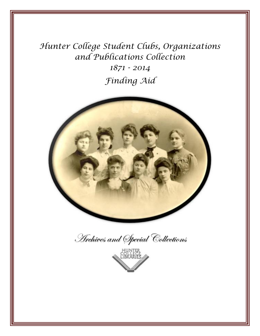*Hunter College Student Clubs, Organizations and Publications Collection*

> *1871 - 2014 Finding Aid*



Archives and Special Collections

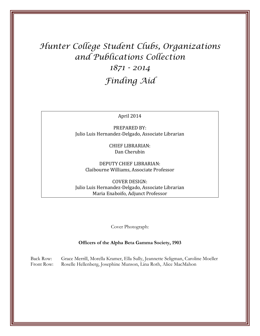# *Hunter College Student Clubs, Organizations and Publications Collection*

# *1871 - 2014 Finding Aid*

#### April 2014

PREPARED BY: Julio Luis Hernandez-Delgado, Associate Librarian

> CHIEF LIBRARIAN: Dan Cherubin

DEPUTY CHIEF LIBRARIAN: Claibourne Williams, Associate Professor

COVER DESIGN: Julio Luis Hernandez-Delgado, Associate Librarian Maria Enaboifo, Adjunct Professor

Cover Photograph:

#### **Officers of the Alpha Beta Gamma Society, 1903**

Back Row: Grace Merrill, Morella Kramer, Ella Sully, Jeannette Seligman, Caroline Moeller Front Row: Roselle Hellenberg, Josephine Munson, Lina Roth, Alice MacMahon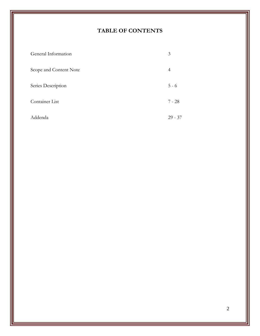# **TABLE OF CONTENTS**

| General Information    | 3              |
|------------------------|----------------|
| Scope and Content Note | $\overline{4}$ |
| Series Description     | $5 - 6$        |
| Container List         | $7 - 28$       |
| Addenda                | $29 - 37$      |

2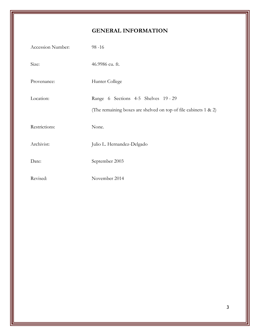# **GENERAL INFORMATION**

| Accession Number: | $98 - 16$                                                                                               |
|-------------------|---------------------------------------------------------------------------------------------------------|
| Size:             | 46.9986 cu. ft.                                                                                         |
| Provenance:       | Hunter College                                                                                          |
| Location:         | Range 6 Sections 4-5 Shelves 19 - 29<br>(The remaining boxes are shelved on top of file cabinets 1 & 2) |
| Restrictions:     | None.                                                                                                   |
| Archivist:        | Julio L. Hernandez-Delgado                                                                              |
| Date:             | September 2003                                                                                          |
| Revised:          | November 2014                                                                                           |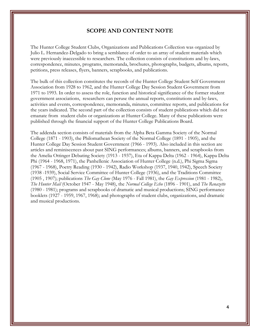#### **SCOPE AND CONTENT NOTE**

The Hunter College Student Clubs, Organizations and Publications Collection was organized by Julio L. Hernandez-Delgado to bring a semblance of order to an array of student materials which were previously inaccessible to researchers. The collection consists of constitutions and by-laws, correspondence, minutes, programs, memoranda, brochures, photographs, budgets, albums, reports, petitions, press releases, flyers, banners, scrapbooks, and publications.

The bulk of this collection constitutes the records of the Hunter College Student Self Government Association from 1928 to 1962, and the Hunter College Day Session Student Government from 1971 to 1993. In order to assess the role, function and historical significance of the former student government associations, researchers can peruse the annual reports, constitutions and by-laws, activities and events, correspondence, memoranda, minutes, committee reports, and publications for the years indicated. The second part of the collection consists of student publications which did not emanate from student clubs or organizations at Hunter College. Many of these publications were published through the financial support of the Hunter College Publications Board.

The addenda section consists of materials from the Alpha Beta Gamma Society of the Normal College (1871 - 1903), the Philomathean Society of the Normal College (1891 - 1905), and the Hunter College Day Session Student Government (1966 - 1993). Also included in this section are articles and reminiscences about past SING performances; albums, banners, and scrapbooks from the Amelia Ottinger Debating Society (1913 - 1937), Eta of Kappa Delta (1962 - 1964), Kappa Delta Phi (1964 - 1968, 1971), the Panhellenic Association of Hunter College (n.d.), Phi Sigma Sigma (1967 - 1968), Poetry Reading (1930 - 1942), Radio Workshop (1937, 1940, 1942), Speech Society (1938 -1939), Social Service Committee of Hunter College (1936), and the Traditions Committee (1905 , 1907); publications *The Gay Clone* (May 1976 - Fall 1981), the *Gay Expression* (1981 - 1982), *The Hunter Mail* (October 1947 - May 1948), the *Normal College Echo* (1896 - 1901), and *The Renazette* (1980 - 1981); programs and scrapbooks of dramatic and musical productions; SING performance booklets (1927 - 1959, 1967, 1968); and photographs of student clubs, organizations, and dramatic and musical productions.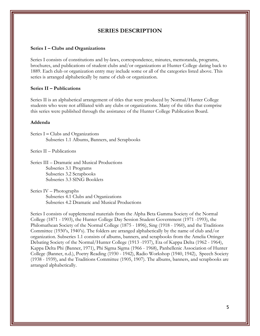#### **SERIES DESCRIPTION**

#### **Series I – Clubs and Organizations**

Series I consists of constitutions and by-laws, correspondence, minutes, memoranda, programs, brochures, and publications of student clubs and/or organizations at Hunter College dating back to 1889. Each club or organization entry may include some or all of the categories listed above. This series is arranged alphabetically by name of club or organization.

#### **Series II – Publications**

Series II is an alphabetical arrangement of titles that were produced by Normal/Hunter College students who were not affiliated with any clubs or organizations. Many of the titles that comprise this series were published through the assistance of the Hunter College Publication Board.

#### **Addenda**

Series I **–** Clubs and Organizations Subseries 1.1 Albums, Banners, and Scrapbooks

Series II – Publications

Series III – Dramatic and Musical Productions Subseries 3.1 Programs Subseries 3.2 Scrapbooks Subseries 3.3 SING Booklets

Series IV – Photographs Subseries 4.1 Clubs and Organizations Subseries 4.2 Dramatic and Musical Productions

Series I consists of supplemental materials from the Alpha Beta Gamma Society of the Normal College (1871 - 1903), the Hunter College Day Session Student Government (1971 -1993), the Philomathean Society of the Normal College (1875 - 1896), Sing (1918 - 1960), and the Traditions Committee (1930's, 1940's). The folders are arranged alphabetically by the name of club and/or organization. Subseries 1.1 consists of albums, banners, and scrapbooks from the Amelia Ottinger Debating Society of the Normal/Hunter College (1913 -1937), Eta of Kappa Delta (1962 - 1964), Kappa Delta Phi (Banner, 1971), Phi Sigma Sigma (1966 - 1968), Panhellenic Association of Hunter College (Banner, n.d.), Poetry Reading (1930 - 1942), Radio Workshop (1940, 1942), Speech Society (1938 - 1939), and the Traditions Committee (1905, 1907). The albums, banners, and scrapbooks are arranged alphabetically.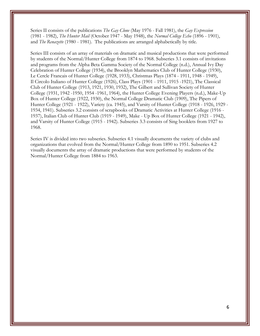Series II consists of the publications *The Gay Clone* (May 1976 - Fall 1981), the *Gay Expression* (1981 - 1982), *The Hunter Mail* (October 1947 - May 1948), the *Normal College Echo* (1896 - 1901), and *The Renazette* (1980 - 1981). The publications are arranged alphabetically by title.

Series III consists of an array of materials on dramatic and musical productions that were performed by students of the Normal/Hunter College from 1874 to 1968. Subseries 3.1 consists of invitations and programs from the Alpha Beta Gamma Society of the Normal College (n.d.), Annual Ivy Day Celebration of Hunter College (1934), the Brooklyn Mathematics Club of Hunter College (1930), Le Cercle Francais of Hunter College (1928, 1933), Christmas Plays (1874 - 1911, 1948 - 1949), Il Circolo Italiano of Hunter College (1926), Class Plays (1901 - 1911, 1915 -1921), The Classical Club of Hunter College (1913, 1921, 1930, 1932), The Gilbert and Sullivan Society of Hunter College (1931, 1942 -1950, 1954 -1961, 1964), the Hunter College Evening Players (n.d.), Make-Up Box of Hunter College (1922, 1930), the Normal College Dramatic Club (1909), The Pipers of Hunter College (1921 - 1922), Variety (ca. 1945), and Varsity of Hunter College (1918 - 1926, 1929 - 1934, 1941). Subseries 3.2 consists of scrapbooks of Dramatic Activities at Hunter College (1916 - 1937), Italian Club of Hunter Club (1919 - 1949), Make - Up Box of Hunter College (1921 - 1942), and Varsity of Hunter College (1915 - 1942). Subseries 3.3 consists of Sing booklets from 1927 to 1968.

Series IV is divided into two subseries. Subseries 4.1 visually documents the variety of clubs and organizations that evolved from the Normal/Hunter College from 1890 to 1951. Subseries 4.2 visually documents the array of dramatic productions that were performed by students of the Normal/Hunter College from 1884 to 1963.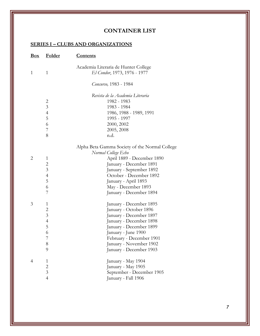## **CONTAINER LIST**

| <b>Box</b>     | <b>Folder</b>                                                                    | <u>Contents</u>                                                                                                                                                                                                                             |
|----------------|----------------------------------------------------------------------------------|---------------------------------------------------------------------------------------------------------------------------------------------------------------------------------------------------------------------------------------------|
| 1              | $\mathbf{1}$                                                                     | Academia Literaria de Hunter College<br>El Condor, 1973, 1976 - 1977                                                                                                                                                                        |
|                |                                                                                  | Concurso, 1983 - 1984                                                                                                                                                                                                                       |
|                | $\overline{c}$<br>$\mathfrak{Z}$<br>$\overline{4}$<br>5<br>6<br>7<br>8           | Revista de la Academia Literaria<br>1982 - 1983<br>1983 - 1984<br>1986, 1988 - 1989, 1991<br>1995 - 1997<br>2000, 2002<br>2005, 2008<br>n.d.                                                                                                |
|                |                                                                                  | Alpha Beta Gamma Society of the Normal College                                                                                                                                                                                              |
| 2              | 1<br>$\overline{c}$<br>$\overline{3}$<br>4<br>5<br>6<br>7                        | Normal College Echo<br>April 1889 - December 1890<br>January - December 1891<br>January - September 1892<br>October - December 1892<br>January - April 1893<br>May - December 1893<br>January - December 1894                               |
| 3              | 1<br>$\overline{c}$<br>$\overline{3}$<br>$\overline{4}$<br>5<br>6<br>7<br>8<br>9 | January - December 1895<br>January - October 1896<br>January - December 1897<br>January - December 1898<br>January - December 1899<br>January - June 1900<br>February - December 1901<br>January - November 1902<br>January - December 1903 |
| $\overline{4}$ | $\mathbf{1}$<br>$\overline{c}$<br>$\overline{3}$<br>$\overline{4}$               | January - May 1904<br>January - May 1905<br>September - December 1905<br>January - Fall 1906                                                                                                                                                |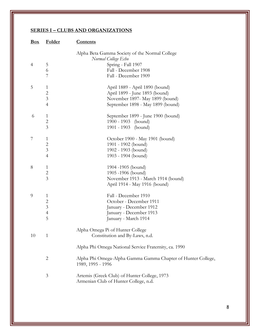| Box | <b>Folder</b>                                                | <b>Contents</b>                                                                                                                             |
|-----|--------------------------------------------------------------|---------------------------------------------------------------------------------------------------------------------------------------------|
| 4   | 5<br>6<br>7                                                  | Alpha Beta Gamma Society of the Normal College<br>Normal College Echo<br>Spring - Fall 1907<br>Fall - December 1908<br>Fall - December 1909 |
| 5   | 1<br>$\overline{2}$<br>$\mathfrak{Z}$<br>$\overline{4}$      | April 1889 - April 1890 (bound)<br>April 1899 - June 1893 (bound)<br>November 1897- May 1899 (bound)<br>September 1898 - May 1899 (bound)   |
| 6   | 1<br>$\mathbf{2}$<br>$\overline{3}$                          | September 1899 - June 1900 (bound)<br>1900 - 1903 (bound)<br>1901 - 1903 (bound)                                                            |
| 7   | 1<br>$\overline{2}$<br>$\mathfrak{Z}$<br>$\overline{4}$      | October 1900 - May 1901 (bound)<br>1901 - 1902 (bound)<br>1902 - 1903 (bound)<br>1903 - 1904 (bound)                                        |
| 8   | 1<br>$\overline{c}$<br>$\overline{3}$                        | 1904 -1905 (bound)<br>1905-1906 (bound)<br>November 1913 - March 1914 (bound)<br>April 1914 - May 1916 (bound)                              |
| 9   | 1<br>$\overline{c}$<br>$\mathfrak{Z}$<br>$\overline{4}$<br>5 | Fall - December 1910<br>October - December 1911<br>January - December 1912<br>January - December 1913<br>January - March 1914               |
| 10  | $\mathbf{1}$                                                 | Alpha Omega Pi of Hunter College<br>Constitution and By-Laws, n.d.<br>Alpha Phi Omega National Service Fraternity, ca. 1990                 |
|     | $\overline{c}$                                               | Alpha Phi Omega-Alpha Gamma Gamma Chapter of Hunter College,<br>1989, 1995 - 1996                                                           |
|     | 3                                                            | Artemis (Greek Club) of Hunter College, 1973<br>Armenian Club of Hunter College, n.d.                                                       |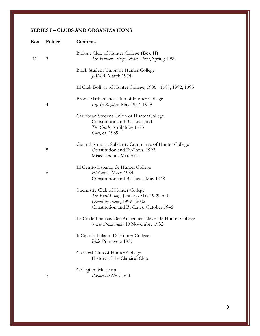| <u>Box</u> | <b>Folder</b> | <b>Contents</b>                                                                                                                                     |
|------------|---------------|-----------------------------------------------------------------------------------------------------------------------------------------------------|
| 10         | 3             | Biology Club of Hunter College (Box 11)<br>The Hunter College Science Times, Spring 1999                                                            |
|            |               | Black Student Union of Hunter College<br>JAMA, March 1974                                                                                           |
|            |               | El Club Bolivar of Hunter College, 1986 - 1987, 1992, 1993                                                                                          |
|            | 4             | Bronx Mathematics Club of Hunter College<br>Log-In Rhythm, May 1937, 1938                                                                           |
|            |               | Caribbean Student Union of Hunter College<br>Constitution and By-Laws, n.d.<br>The Carib, April/May 1973<br>Cari, ca. 1989                          |
|            | 5             | Central America Solidarity Committee of Hunter College<br>Constitution and By-Laws, 1992<br>Miscellaneous Materials                                 |
|            | 6             | El Centro Espanol de Hunter College<br>El Cohete, Mayo 1934<br>Constitution and By-Laws, May 1948                                                   |
|            |               | Chemistry Club of Hunter College<br>The Blast Lamp, January/May 1929, n.d.<br>Chemistry News, 1999 - 2002<br>Constitution and By-Laws, October 1946 |
|            |               | Le Circle Francais Des Anciennes Eleves de Hunter College<br><i>Soiree Dramatique</i> 19 Novembre 1932                                              |
|            |               | Ii Circolo Italiano Di Hunter College<br>Iride, Primavera 1937                                                                                      |
|            |               | Classical Club of Hunter College<br>History of the Classical Club                                                                                   |
|            | 7             | Collegium Musicum<br>Perspective No. 2, n.d.                                                                                                        |

9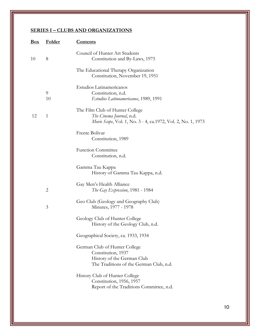| Box | <b>Folder</b>  | <u>Contents</u>                                                                                                              |
|-----|----------------|------------------------------------------------------------------------------------------------------------------------------|
| 10  | 8              | Council of Hunter Art Students<br>Constitution and By-Laws, 1975                                                             |
|     |                | The Educational Therapy Organization<br>Constitution, November 19, 1951                                                      |
|     | 9<br>10        | Estudios Latinamericanos<br>Constitution, n.d.<br>Estudios Latinoamericanos, 1989, 1991                                      |
| 12  | $\mathbf{1}$   | The Film Club of Hunter College<br>The Cinema Journal, n.d.<br>Movie Scope, Vol. 1, No. 3 - 4, ca.1972, Vol. 2, No. 1, 1973  |
|     |                | Frente Bolivar<br>Constitution, 1989                                                                                         |
|     |                | <b>Function Committee</b><br>Constitution, n.d.                                                                              |
|     |                | Gamma Tau Kappa<br>History of Gamma Tau Kappa, n.d.                                                                          |
|     | $\overline{2}$ | Gay Men's Health Alliance<br>The Gay Expression, 1981 - 1984                                                                 |
|     | 3              | Geo Club (Geology and Geography Club)<br>Minutes, 1977 - 1978                                                                |
|     |                | Geology Club of Hunter College<br>History of the Geology Club, n.d.                                                          |
|     |                | Geographical Society, ca. 1933, 1934                                                                                         |
|     |                | German Club of Hunter College<br>Constitution, 1937<br>History of the German Club<br>The Traditions of the German Club, n.d. |
|     |                | History Club of Hunter College<br>Constitution, 1956, 1957<br>Report of the Traditions Committee, n.d.                       |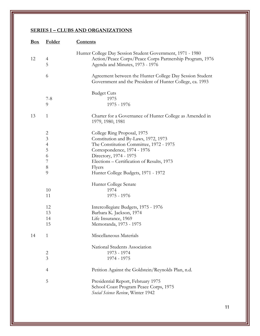| Box | <b>Folder</b>                                                                   | <u>Contents</u>                                                                                                                                                                                                                                                        |
|-----|---------------------------------------------------------------------------------|------------------------------------------------------------------------------------------------------------------------------------------------------------------------------------------------------------------------------------------------------------------------|
| 12  | 4<br>5                                                                          | Hunter College Day Session Student Government, 1971 - 1980<br>Action/Peace Corps/Peace Corps Partnership Program, 1976<br>Agenda and Minutes, 1973 - 1976                                                                                                              |
|     | 6                                                                               | Agreement between the Hunter College Day Session Student<br>Government and the President of Hunter College, ca. 1993                                                                                                                                                   |
|     | $7 - 8$<br>9                                                                    | <b>Budget Cuts</b><br>1975<br>1975 - 1976                                                                                                                                                                                                                              |
| 13  | $\mathbf{1}$                                                                    | Charter for a Governance of Hunter College as Amended in<br>1979, 1980, 1981                                                                                                                                                                                           |
|     | $\overline{c}$<br>$\mathfrak{Z}$<br>$\overline{4}$<br>5<br>6<br>7<br>$8\,$<br>9 | College Ring Proposal, 1975<br>Constitution and By-Laws, 1972, 1973<br>The Constitution Committee, 1972 - 1975<br>Correspondence, 1974 - 1976<br>Directory, 1974 - 1975<br>Elections – Certification of Results, 1973<br>Flyers<br>Hunter College Budgets, 1971 - 1972 |
|     | 10<br>11<br>12                                                                  | Hunter College Senate<br>1974<br>1975 - 1976<br>Intercollegiate Budgets, 1975 - 1976                                                                                                                                                                                   |
|     | 13<br>14<br>15                                                                  | Barbara K. Jackson, 1974<br>Life Insurance, 1969<br>Memoranda, 1973 - 1975                                                                                                                                                                                             |
| 14  | 1                                                                               | Miscellaneous Materials                                                                                                                                                                                                                                                |
|     | 2<br>3                                                                          | National Students Association<br>1973 - 1974<br>1974 - 1975                                                                                                                                                                                                            |
|     | $\overline{4}$                                                                  | Petition Against the Goldstein/Reynolds Plan, n.d.                                                                                                                                                                                                                     |
|     | 5                                                                               | Presidential Report, February 1975<br>School Coast Program Peace Corps, 1975<br>Social Science Review, Winter 1942                                                                                                                                                     |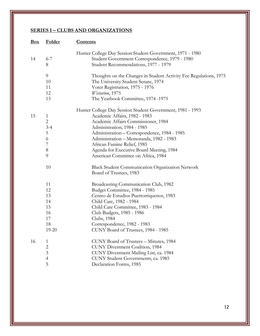| Box | <b>Folder</b>                                                           | <b>Contents</b>                                                                                                                                                                                                                                                                                                                                                               |
|-----|-------------------------------------------------------------------------|-------------------------------------------------------------------------------------------------------------------------------------------------------------------------------------------------------------------------------------------------------------------------------------------------------------------------------------------------------------------------------|
| 14  | $6 - 7$<br>8                                                            | Hunter College Day Session Student Government, 1971 - 1980<br>Student Government Correspondence, 1979 - 1980<br>Student Recommendations, 1977 - 1979                                                                                                                                                                                                                          |
|     | 9<br>10<br>11<br>12<br>13                                               | Thoughts on the Changes in Student Activity Fee Regulations, 1975<br>The University Student Senate, 1974<br>Voter Registration, 1975 - 1976<br>Wistarion, 1975<br>The Yearbook Committee, 1974 -1975                                                                                                                                                                          |
| 15  | 1<br>$\mathbf{2}$<br>$3 - 4$<br>5<br>6<br>7<br>$8\,$<br>9               | Hunter College Day Session Student Government, 1981 - 1993<br>Academic Affairs, 1982 - 1983<br>Academic Affairs Commissioner, 1984<br>Administration, 1984 - 1985<br>Administration - Correspondence, 1984 - 1985<br>Administration - Memoranda, 1982 - 1983<br>African Famine Relief, 1985<br>Agenda for Executive Board Meeting, 1984<br>American Committee on Africa, 1984 |
|     | 10                                                                      | <b>Black Student Communication Organization Network</b><br>Board of Trustees, 1983                                                                                                                                                                                                                                                                                            |
|     | 11<br>12<br>13<br>14<br>15<br>16<br>17<br>18<br>19-20                   | Broadcasting Communication Club, 1982<br>Budget Committee, 1984 - 1985<br>Centro de Estudios Puertorriquenos, 1983<br>Child Care, 1982 - 1984<br>Child Care Committee, 1983 - 1984<br>Club Budgets, 1985 - 1986<br>Clubs, 1984<br>Correspondence, 1982 - 1983<br>CUNY Board of Trustees, 1984 - 1985                                                                          |
| 16  | $\mathbf{1}$<br>$\overline{c}$<br>$\overline{3}$<br>$\overline{4}$<br>5 | CUNY Board of Trustees - Minutes, 1984<br><b>CUNY Divestment Coalition</b> , 1984<br>CUNY Divestment Mailing List, ca. 1984<br>CUNY Student Governments, ca. 1985<br>Declaration Forms, 1985                                                                                                                                                                                  |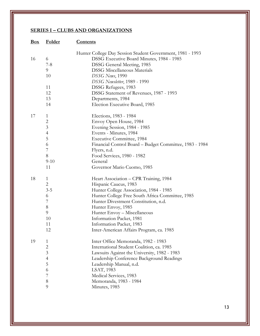| Box | <b>Folder</b>                                                        | <u>Contents</u>                                                                                                                                                                                                                                                                                                                                                  |
|-----|----------------------------------------------------------------------|------------------------------------------------------------------------------------------------------------------------------------------------------------------------------------------------------------------------------------------------------------------------------------------------------------------------------------------------------------------|
| 16  | 6<br>7-8<br>9<br>10<br>11<br>12<br>13<br>14                          | Hunter College Day Session Student Government, 1981 - 1993<br>DSSG Executive Board Minutes, 1984 - 1985<br><b>DSSG General Meeting, 1985</b><br><b>DSSG Miscellaneous Materials</b><br>DSSG News, 1990<br>DSSG Newsletter, 1989 - 1990<br>DSSG Refugees, 1983<br>DSSG Statement of Revenues, 1987 - 1993<br>Departments, 1984<br>Election Executive Board, 1985  |
| 17  | 1<br>$\overline{c}$<br>3<br>4<br>5<br>6<br>7<br>8<br>$9-10$<br>11    | Elections, 1983 - 1984<br>Envoy Open House, 1984<br>Evening Session, 1984 - 1985<br>Events - Minutes, 1984<br><b>Executive Committee</b> , 1984<br>Financial Control Board - Budget Committee, 1983 - 1984<br>Flyers, n.d.<br>Food Services, 1980 - 1982<br>General<br>Governor Mario Cuomo, 1985                                                                |
| 18  | 1<br>$\overline{2}$<br>$3 - 5$<br>6<br>7<br>8<br>9<br>10<br>11<br>12 | Heart Association - CPR Training, 1984<br>Hispanic Caucus, 1983<br>Hunter College Association, 1984 - 1985<br>Hunter College Free South Africa Committee, 1985<br>Hunter Divestment Constitution, n.d.<br>Hunter Envoy, 1985<br>Hunter Envoy - Miscellaneous<br>Information Packet, 1981<br>Information Packet, 1983<br>Inter-American Affairs Program, ca. 1985 |
| 19  | 1<br>$\overline{2}$<br>3<br>$\overline{4}$<br>5<br>6<br>7<br>8<br>9  | Inter Office Memoranda, 1982 - 1983<br>International Student Coalition, ca. 1985<br>Lawsuits Against the University, 1982 - 1983<br>Leadership Conference Background Readings<br>Leadership Manual, n.d.<br>LSAT, 1983<br>Medical Services, 1983<br>Memoranda, 1983 - 1984<br>Minutes, 1985                                                                      |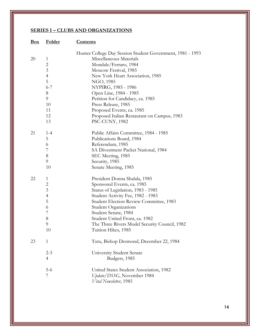| <b>Box</b> | <b>Folder</b>                                                                                             | <u>Contents</u>                                                                                                                                                                                                                                                                                                                                                                                    |
|------------|-----------------------------------------------------------------------------------------------------------|----------------------------------------------------------------------------------------------------------------------------------------------------------------------------------------------------------------------------------------------------------------------------------------------------------------------------------------------------------------------------------------------------|
| 20         | 1<br>$\overline{c}$<br>$\mathfrak{Z}$<br>$\overline{4}$<br>5<br>$6 - 7$<br>8<br>9<br>10<br>11<br>12<br>13 | Hunter College Day Session Student Government, 1981 - 1993<br>Miscellaneous Materials<br>Mondale/Ferraro, 1984<br>Moscow Festival, 1985<br>New York Heart Association, 1985<br>NGO, 1985<br>NYPIRG, 1985 - 1986<br>Open Line, 1984 - 1985<br>Petition for Candidacy, ca. 1985<br>Press Release, 1985<br>Proposed Events, ca. 1985<br>Proposed Italian Restaurant on Campus, 1983<br>PSC-CUNY, 1982 |
| 21         | $1 - 4$<br>5<br>6<br>7<br>8<br>9<br>10                                                                    | Public Affairs Committee, 1984 - 1985<br>Publications Board, 1984<br>Referendum, 1985<br>SA Divestment Packet National, 1984<br>SEC Meeting, 1985<br>Security, 1985<br>Senate Meeting, 1985                                                                                                                                                                                                        |
| 22         | 1<br>2<br>3<br>4<br>5<br>6<br>7<br>8<br>9<br>10                                                           | President Donna Shalala, 1985<br>Sponsored Events, ca. 1985<br>Status of Legislation, 1983 - 1985<br>Student Activity Fee, 1982 - 1983<br>Student Election Review Committee, 1983<br><b>Student Organizations</b><br>Student Senate, 1984<br>Student United Front, ca. 1982<br>The Three Rivers Model Security Council, 1982<br>Tuition Hikes, 1985                                                |
| 23         | 1<br>$2 - 3$<br>4<br>$5 - 6$<br>7                                                                         | Tutu, Bishop Desmond, December 22, 1984<br>University Student Senate<br>Budgets, 1985<br>United States Student Association, 1982<br>Update/DSSG, November 1984<br>Vital Newsletter, 1985                                                                                                                                                                                                           |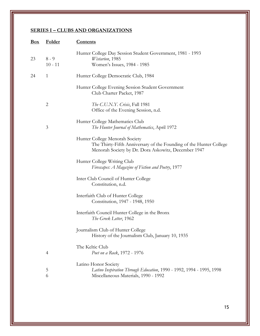| Box | <b>Folder</b>        | <b>Contents</b>                                                                                                                                             |
|-----|----------------------|-------------------------------------------------------------------------------------------------------------------------------------------------------------|
| 23  | $8 - 9$<br>$10 - 11$ | Hunter College Day Session Student Government, 1981 - 1993<br>Wistarion, 1985<br>Women's Issues, 1984 - 1985                                                |
|     |                      |                                                                                                                                                             |
| 24  | $\mathbf{1}$         | Hunter College Democratic Club, 1984                                                                                                                        |
|     |                      | Hunter College Evening Session Student Government<br>Club Charter Packet, 1987                                                                              |
|     | $\overline{2}$       | The C.U.N.Y. Crisis, Fall 1981<br>Office of the Evening Session, n.d.                                                                                       |
|     | $\mathfrak{Z}$       | Hunter College Mathematics Club<br>The Hunter Journal of Mathematics, April 1972                                                                            |
|     |                      | Hunter College Menorah Society<br>The Thirty-Fifth Anniversary of the Founding of the Hunter College<br>Menorah Society by Dr. Dora Askowitz, December 1947 |
|     |                      | Hunter College Writing Club<br>Firescapes: A Magazine of Fiction and Poetry, 1977                                                                           |
|     |                      | Inter Club Council of Hunter College<br>Constitution, n.d.                                                                                                  |
|     |                      | Interfaith Club of Hunter College<br>Constitution, 1947 - 1948, 1950                                                                                        |
|     |                      | Interfaith Council Hunter College in the Bronx<br>The Greek Letter, 1962                                                                                    |
|     |                      | Journalism Club of Hunter College<br>History of the Journalism Club, January 10, 1935                                                                       |
|     | $\overline{4}$       | The Keltic Club<br>Poet on a Rock, 1972 - 1976                                                                                                              |
|     | 5<br>6               | Latino Honor Society<br>Latino Inspiration Through Education, 1990 - 1992, 1994 - 1995, 1998<br>Miscellaneous Materials, 1990 - 1992                        |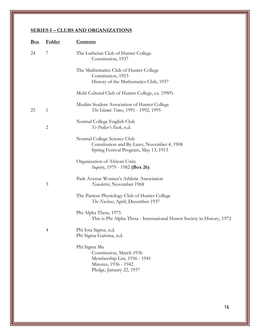| <u>Box</u> | <b>Folder</b>  | <u>Contents</u>                                                                                                              |
|------------|----------------|------------------------------------------------------------------------------------------------------------------------------|
| 24         | 7              | The Lutheran Club of Hunter College<br>Constitution, 1937                                                                    |
|            |                | The Mathematics Club of Hunter College<br>Constitution, 1953                                                                 |
|            |                | History of the Mathematics Club, 1937                                                                                        |
|            |                | Multi Cultural Club of Hunter College, ca. 1990's                                                                            |
| 25         | $\mathbf{1}$   | Muslim Student Association of Hunter College<br>The Islamic Times, 1991 - 1992, 1995                                         |
|            | $\overline{2}$ | Normal College English Club<br>Ye Pedlar's Pack, n.d.                                                                        |
|            |                | Normal College Science Club<br>Constitution and By-Laws, November 4, 1908<br>Spring Festival Program, May 13, 1913           |
|            |                | Organization of African Unity<br>Inquiry, 1979 - 1982 (Box 26)                                                               |
|            | 3              | Park Avenue Women's Athletic Association<br>Newsletter, November 1968                                                        |
|            |                | The Pasteur Physiology Club of Hunter College<br>The Nucleus, April, December 1937                                           |
|            |                | Phi Alpha Theta, 1975<br>This is Phi Alpha Theta - International Honor Society in History, 1972                              |
|            | $\overline{4}$ | Phi Iota Sigma, n.d.<br>Phi Sigma Gamma, n.d.                                                                                |
|            |                | Phi Sigma Mu<br>Constitution, March 1936<br>Membership List, 1936 - 1941<br>Minutes, 1936 - 1942<br>Pledge, January 22, 1937 |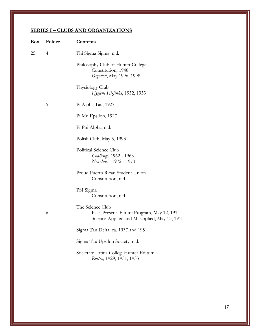| <b>Box</b> | Folder         | <b>Contents</b>                                                                                                 |
|------------|----------------|-----------------------------------------------------------------------------------------------------------------|
| 25         | $\overline{4}$ | Phi Sigma Sigma, n.d.                                                                                           |
|            |                | Philosophy Club of Hunter College<br>Constitution, 1948<br>Organon, May 1996, 1998                              |
|            |                | Physiology Club<br>Hygiene Hi-Jinks, 1952, 1953                                                                 |
|            | 5              | Pi Alpha Tau, 1927                                                                                              |
|            |                | Pi Mu Epsilon, 1927                                                                                             |
|            |                | Pi Phi Alpha, n.d.                                                                                              |
|            |                | Polish Club, May 5, 1993                                                                                        |
|            |                | Political Science Club<br>Challenge, 1962 - 1963<br>Newsline 1972 - 1973                                        |
|            |                | Proud Puerto Rican Student Union<br>Constitution, n.d.                                                          |
|            |                | PSI Sigma<br>Constitution, n.d.                                                                                 |
|            | 6              | The Science Club<br>Past, Present, Future Program, May 12, 1914<br>Science Applied and Misapplied, May 13, 1913 |
|            |                | Sigma Tau Delta, ca. 1937 and 1951                                                                              |
|            |                | Sigma Tau Upsilon Society, n.d.                                                                                 |
|            |                | Societate Latina Collegi Hunter Editum<br>Rostra, 1929, 1931, 1933                                              |
|            |                |                                                                                                                 |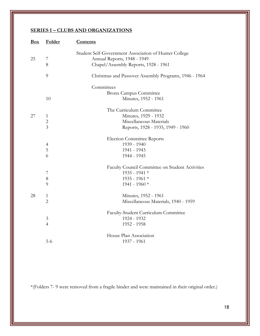| Box | Folder                                           | <b>Contents</b>                                                                                                              |
|-----|--------------------------------------------------|------------------------------------------------------------------------------------------------------------------------------|
| 25  | $\overline{7}$<br>8                              | Student Self-Government Association of Hunter College<br>Annual Reports, 1948 - 1949<br>Chapel/Assembly Reports, 1928 - 1961 |
|     | 9                                                | Christmas and Passover Assembly Programs, 1946 - 1964                                                                        |
|     | 10                                               | Committees<br><b>Bronx Campus Committee</b><br>Minutes, 1952 - 1961                                                          |
| 27  | $\mathbf{1}$<br>$\overline{2}$<br>$\overline{3}$ | The Curriculum Committee<br>Minutes, 1929 - 1932<br>Miscellaneous Materials<br>Reports, 1928 - 1935, 1949 - 1960             |
|     | $\overline{4}$<br>5<br>6                         | <b>Election Committee Reports</b><br>1939 - 1940<br>1941 - 1943<br>1944 - 1945                                               |
|     | 7<br>$8\,$<br>9                                  | Faculty Council Committee on Student Activities<br>1935 - 1941 *<br>1935 - 1961 *<br>1941 - 1960 *                           |
| 28  | $\mathbf{1}$<br>$\overline{2}$                   | Minutes, 1952 - 1961<br>Miscellaneous Materials, 1940 - 1959                                                                 |
|     | 3<br>$\overline{4}$                              | Faculty-Student Curriculum Committee<br>1924 - 1932<br>1952 - 1958                                                           |
|     | $5 - 6$                                          | House Plan Association<br>1937 - 1961                                                                                        |

\*(Folders 7- 9 were removed from a fragile binder and were maintained in their original order.)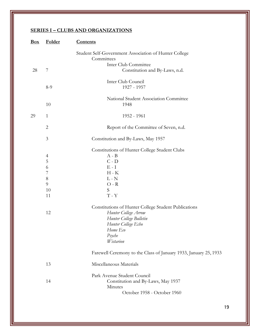| Folder                                                                               | <b>Contents</b>                                                                                                                                                                                                                                                                                                   |
|--------------------------------------------------------------------------------------|-------------------------------------------------------------------------------------------------------------------------------------------------------------------------------------------------------------------------------------------------------------------------------------------------------------------|
|                                                                                      | Student Self-Government Association of Hunter College<br>Committees                                                                                                                                                                                                                                               |
|                                                                                      | Inter Club Committee                                                                                                                                                                                                                                                                                              |
| 7                                                                                    | Constitution and By-Laws, n.d.                                                                                                                                                                                                                                                                                    |
| $8-9$                                                                                | Inter Club Council<br>1927 - 1957                                                                                                                                                                                                                                                                                 |
| 10                                                                                   | National Student Association Committee<br>1948                                                                                                                                                                                                                                                                    |
| $\mathbf{1}$                                                                         | 1952 - 1961                                                                                                                                                                                                                                                                                                       |
| $\overline{c}$                                                                       | Report of the Committee of Seven, n.d.                                                                                                                                                                                                                                                                            |
| 3                                                                                    | Constitution and By-Laws, May 1957                                                                                                                                                                                                                                                                                |
| $\overline{\mathcal{A}}$<br>5<br>6<br>$\overline{7}$<br>$8\,$<br>9<br>10<br>11<br>12 | Constitutions of Hunter College Student Clubs<br>$A - B$<br>$C - D$<br>$E - I$<br>$H - K$<br>$L - N$<br>$O - R$<br>${\mathcal S}$<br>$T - Y$<br>Constitutions of Hunter College Student Publications<br>Hunter College Arrow<br>Hunter College Bulletin<br>Hunter College Echo<br>Home Eco<br>Psyche<br>Wistarion |
|                                                                                      | Farewell Ceremony to the Class of January 1933, January 25, 1933                                                                                                                                                                                                                                                  |
| 13                                                                                   | Miscellaneous Materials                                                                                                                                                                                                                                                                                           |
| 14                                                                                   | Park Avenue Student Council<br>Constitution and By-Laws, May 1937<br>Minutes<br>October 1958 - October 1960                                                                                                                                                                                                       |
|                                                                                      |                                                                                                                                                                                                                                                                                                                   |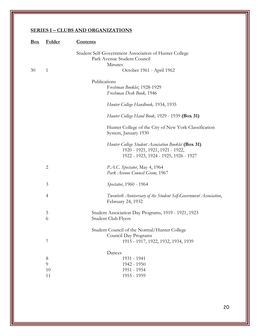| Box | <b>Folder</b>  | <b>Contents</b>                                                                                                                 |
|-----|----------------|---------------------------------------------------------------------------------------------------------------------------------|
|     |                | Student Self-Government Association of Hunter College                                                                           |
|     |                | Park Avenue Student Council                                                                                                     |
|     |                | Minutes                                                                                                                         |
| 30  | $\mathbf{1}$   | October 1961 - April 1962                                                                                                       |
|     |                | Publications                                                                                                                    |
|     |                | Freshman Booklet, 1928-1929                                                                                                     |
|     |                | Freshman Desk Book, 1946                                                                                                        |
|     |                | Hunter College Handbook, 1934, 1935                                                                                             |
|     |                | Hunter College Hand Book, 1929 - 1939 (Box 31)                                                                                  |
|     |                | Hunter College of the City of New York Classification<br>System, January 1930                                                   |
|     |                | Hunter College Student Association Booklet (Box 31)<br>1920 - 1921, 1921, 1921 - 1922,<br>1922 - 1923, 1924 - 1925, 1926 - 1927 |
|     | $\mathbf{2}$   | P.A.C. Spectator, May 4, 1964                                                                                                   |
|     |                | Park Avenue Council Gram, 1967                                                                                                  |
|     | 3              | Spectator, 1960 - 1964                                                                                                          |
|     | $\overline{4}$ | Twentieth Anniversary of the Student Self-Government Association,<br>February 24, 1932                                          |
|     | 5              | Student Association Day Programs, 1919 - 1921, 1923                                                                             |
|     | 6              | Student Club Flyers                                                                                                             |
|     |                | Student Council of the Normal/Hunter College                                                                                    |
|     |                | Council Day Programs                                                                                                            |
|     | 7              | 1915 - 1917, 1922, 1932, 1934, 1939                                                                                             |
|     |                | Dances                                                                                                                          |
|     | $8\,$          | 1931 - 1941                                                                                                                     |
|     | 9              | 1942 - 1950                                                                                                                     |
|     | 10             | 1951 - 1954                                                                                                                     |
|     | 11             | 1955 - 1959                                                                                                                     |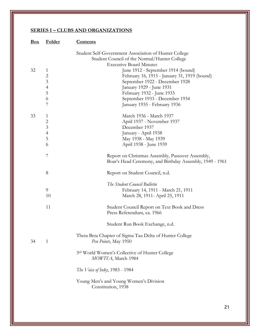| Student Self-Government Association of Hunter College<br>Student Council of the Normal/Hunter College<br><b>Executive Board Minutes</b><br>32<br>June 1912 - September 1914 (bound)<br>$\mathbf{1}$<br>$\overline{c}$<br>February 16, 1915 - January 31, 1919 (bound)<br>$\overline{3}$<br>September 1922 - December 1928<br>$\overline{4}$<br>January 1929 - June 1931<br>5<br>February 1932 - June 1933<br>6<br>September 1933 - December 1934 |  |
|--------------------------------------------------------------------------------------------------------------------------------------------------------------------------------------------------------------------------------------------------------------------------------------------------------------------------------------------------------------------------------------------------------------------------------------------------|--|
|                                                                                                                                                                                                                                                                                                                                                                                                                                                  |  |
|                                                                                                                                                                                                                                                                                                                                                                                                                                                  |  |
|                                                                                                                                                                                                                                                                                                                                                                                                                                                  |  |
|                                                                                                                                                                                                                                                                                                                                                                                                                                                  |  |
|                                                                                                                                                                                                                                                                                                                                                                                                                                                  |  |
|                                                                                                                                                                                                                                                                                                                                                                                                                                                  |  |
|                                                                                                                                                                                                                                                                                                                                                                                                                                                  |  |
| 7<br>January 1935 - February 1936                                                                                                                                                                                                                                                                                                                                                                                                                |  |
| March 1936 - March 1937<br>33<br>$\mathbf{1}$                                                                                                                                                                                                                                                                                                                                                                                                    |  |
| $\overline{\mathbf{c}}$<br>April 1937 - November 1937                                                                                                                                                                                                                                                                                                                                                                                            |  |
| $\overline{3}$<br>December 1937                                                                                                                                                                                                                                                                                                                                                                                                                  |  |
| $\frac{4}{5}$<br>January - April 1938                                                                                                                                                                                                                                                                                                                                                                                                            |  |
| May 1938 - May 1939                                                                                                                                                                                                                                                                                                                                                                                                                              |  |
| 6<br>April 1938 - June 1939                                                                                                                                                                                                                                                                                                                                                                                                                      |  |
| 7<br>Report on Christmas Assembly, Passover Assembly,                                                                                                                                                                                                                                                                                                                                                                                            |  |
| Boar's Head Ceremony, and Birthday Assembly, 1949 - 1961                                                                                                                                                                                                                                                                                                                                                                                         |  |
| 8<br>Report on Student Council, n.d.                                                                                                                                                                                                                                                                                                                                                                                                             |  |
| The Student Council Bulletin                                                                                                                                                                                                                                                                                                                                                                                                                     |  |
| 9<br>February 14, 1911 - March 21, 1911                                                                                                                                                                                                                                                                                                                                                                                                          |  |
| 10<br>March 28, 1911 - April 25, 1911                                                                                                                                                                                                                                                                                                                                                                                                            |  |
| 11<br>Student Council Report on Text Book and Dress<br>Press Referendum, ca. 1966                                                                                                                                                                                                                                                                                                                                                                |  |
| Student Run Book Exchange, n.d.                                                                                                                                                                                                                                                                                                                                                                                                                  |  |
| Theta Beta Chapter of Sigma Tau Delta of Hunter College<br>$\mathbf{1}$<br>34<br>Pen Points, May 1950                                                                                                                                                                                                                                                                                                                                            |  |
| 3rd World Women's Collective of Hunter College<br>MOWITA, March 1984                                                                                                                                                                                                                                                                                                                                                                             |  |
| <i>The Voice of Inky</i> , 1983 - 1984                                                                                                                                                                                                                                                                                                                                                                                                           |  |
| Young Men's and Young Women's Division<br>Constitution, 1938                                                                                                                                                                                                                                                                                                                                                                                     |  |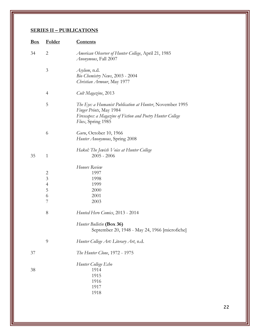| $\mathbf{Box}$ | <b>Folder</b>                                                     | <b>Contents</b>                                                                                                                                                         |  |
|----------------|-------------------------------------------------------------------|-------------------------------------------------------------------------------------------------------------------------------------------------------------------------|--|
| 34             | $\overline{2}$                                                    | <i>American Observer of Hunter College</i> , April 21, 1985<br>Anonymous, Fall 2007                                                                                     |  |
|                | 3                                                                 | Asylum, n.d.<br>Bio Chemistry News, 2003 - 2004<br>Christian Armour, May 1977                                                                                           |  |
|                | $\overline{4}$                                                    | Cult Magazine, 2013                                                                                                                                                     |  |
|                | 5                                                                 | The Eye: a Humanist Publication at Hunter, November 1995<br>Finger Prints, May 1984<br>Firescapes: a Magazine of Fiction and Poetry Hunter College<br>Flux, Spring 1985 |  |
|                | 6                                                                 | Guru, October 10, 1966<br>Hunter Anonymous, Spring 2008                                                                                                                 |  |
| 35             | $\mathbf{1}$                                                      | Hakol: The Jewish Voice at Hunter College<br>$2005 - 2006$                                                                                                              |  |
|                | $\overline{c}$<br>$\overline{3}$<br>$\overline{4}$<br>5<br>6<br>7 | Honors Review<br>1997<br>1998<br>1999<br>2000<br>2001<br>2003                                                                                                           |  |
|                | 8                                                                 | Hunted Hero Comics, 2013 - 2014                                                                                                                                         |  |
|                |                                                                   | Hunter Bulletin (Box 36)<br>September 20, 1948 - May 24, 1966 [microfiche]                                                                                              |  |
|                | 9                                                                 | Hunter College Art: Literary Art, n.d.                                                                                                                                  |  |
| 37             |                                                                   | The Hunter Clone, 1972 - 1975                                                                                                                                           |  |
| 38             |                                                                   | Hunter College Echo<br>1914<br>1915<br>1916<br>1917<br>1918                                                                                                             |  |
|                |                                                                   |                                                                                                                                                                         |  |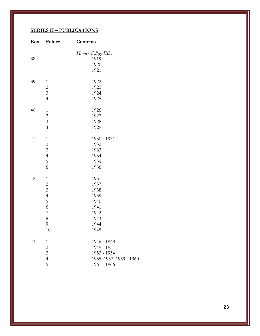| <u>Box</u> | <b>Folder</b>           | <b>Contents</b>         |
|------------|-------------------------|-------------------------|
|            |                         | Hunter College Echo     |
| 38         |                         | 1919                    |
|            |                         | 1920                    |
|            |                         | 1921                    |
| 39         | $\mathbf{1}$            | 1922                    |
|            |                         | 1923                    |
|            | $\frac{2}{3}$           | 1924                    |
|            | $\overline{4}$          | 1925                    |
| 40         | $\mathbf{1}$            | 1926                    |
|            | $\overline{c}$          | 1927                    |
|            | $\overline{\mathbf{3}}$ | 1928                    |
|            | $\overline{4}$          | 1929                    |
| 41         | $\mathbf{1}$            | 1930 - 1931             |
|            | $\overline{c}$          | 1932                    |
|            | $\overline{3}$          | 1933                    |
|            | $\overline{4}$          | 1934                    |
|            | 5                       | 1935                    |
|            | 6                       | 1936                    |
| 42         | $\mathbf{1}$            | 1937                    |
|            | $\overline{c}$          | 1937                    |
|            | $\overline{\mathbf{3}}$ | 1938                    |
|            | $\overline{4}$          | 1939                    |
|            | 5                       | 1940                    |
|            | 6                       | 1941                    |
|            | 7                       | 1942                    |
|            | 8                       | 1943                    |
|            | 9                       | 1944                    |
|            | 10                      | 1945                    |
| 43         | $\mathbf{1}$            | 1946 - 1948             |
|            | $\overline{c}$          | 1949 - 1951             |
|            | $\overline{\mathbf{3}}$ | 1953 - 1954             |
|            | $\overline{4}$          | 1955, 1957, 1959 - 1960 |
|            | 5                       | 1961 - 1966             |
|            |                         |                         |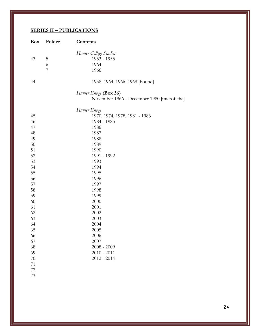| Box      | Folder      | <b>Contents</b>                                                     |
|----------|-------------|---------------------------------------------------------------------|
| 43       | 5<br>6<br>7 | Hunter College Studies<br>1953 - 1955<br>1964<br>1966               |
| 44       |             | 1958, 1964, 1966, 1968 [bound]                                      |
|          |             | Hunter Envoy (Box 36)<br>November 1966 - December 1980 [microfiche] |
|          |             | Hunter Envoy                                                        |
| 45       |             | 1970, 1974, 1978, 1981 - 1983                                       |
| 46       |             | 1984 - 1985                                                         |
| 47       |             | 1986                                                                |
| 48       |             | 1987                                                                |
| 49       |             | 1988                                                                |
| 50       |             | 1989                                                                |
| 51       |             | 1990                                                                |
| 52       |             | 1991 - 1992                                                         |
| 53       |             | 1993                                                                |
| 54       |             | 1994                                                                |
| 55       |             | 1995                                                                |
| 56       |             | 1996                                                                |
| 57       |             | 1997                                                                |
| 58       |             | 1998                                                                |
| 59       |             | 1999                                                                |
| 60       |             | 2000                                                                |
| 61       |             | 2001                                                                |
| 62       |             | 2002                                                                |
| 63       |             | 2003                                                                |
| 64       |             | 2004                                                                |
| 65       |             | 2005                                                                |
| 66       |             | 2006<br>2007                                                        |
| 67<br>68 |             | $2008 - 2009$                                                       |
| 69       |             | $2010 - 2011$                                                       |
| 70       |             | $2012 - 2014$                                                       |
| 71       |             |                                                                     |
| 72       |             |                                                                     |
| 73       |             |                                                                     |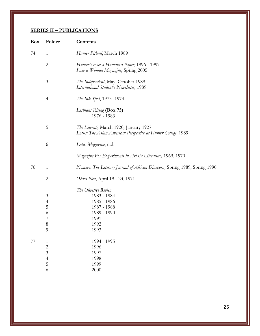| Box                                              | <b>Folder</b>  | <b>Contents</b>                                                                                         |
|--------------------------------------------------|----------------|---------------------------------------------------------------------------------------------------------|
| $\mathbf{1}$<br>74<br>Hunter Pitbull, March 1989 |                |                                                                                                         |
|                                                  | $\mathbf{2}$   | Hunter's Eye: a Humanist Paper, 1996 - 1997<br>I am a Woman Magazine, Spring 2005                       |
|                                                  | $\mathfrak{Z}$ | The Independent, May, October 1989<br>International Student's Newsletter, 1989                          |
|                                                  | $\overline{4}$ | The Ink Spot, 1973 -1974                                                                                |
|                                                  |                | Lesbians Rising (Box 75)<br>1976 - 1983                                                                 |
|                                                  | 5              | The Literati, March 1920, January 1927<br>Lotus: The Asian American Perspective at Hunter College, 1989 |
|                                                  | 6              | Lotus Magazine, n.d.                                                                                    |
|                                                  |                | Magazine For Experiments in Art & Literature, 1969, 1970                                                |
| 76                                               | $\mathbf{1}$   | Nommo: The Literary Journal of African Diaspora, Spring 1989, Spring 1990                               |
|                                                  | $\overline{c}$ | Okios Plea, April 19 - 23, 1971                                                                         |
|                                                  |                | The Olivetree Review                                                                                    |
|                                                  | $\mathfrak{Z}$ | 1983 - 1984                                                                                             |
|                                                  | $\overline{4}$ | 1985 - 1986                                                                                             |
|                                                  | 5              | 1987 - 1988                                                                                             |
|                                                  | 6              | 1989 - 1990                                                                                             |
|                                                  | $\overline{7}$ | 1991                                                                                                    |
|                                                  | 8              | 1992                                                                                                    |
|                                                  | 9              | 1993                                                                                                    |
| 77                                               | $\mathbf{1}$   | 1994 - 1995                                                                                             |
|                                                  | $\overline{c}$ | 1996                                                                                                    |
|                                                  | $\overline{3}$ | 1997                                                                                                    |
|                                                  | $\overline{4}$ | 1998                                                                                                    |
|                                                  | 5              | 1999                                                                                                    |
|                                                  | 6              | 2000                                                                                                    |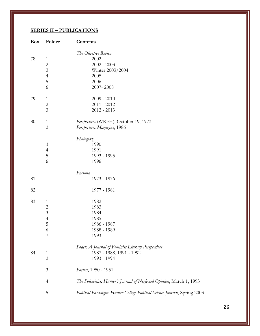| <b>Box</b> | Folder                                                                            | <b>Contents</b>                                                                                |  |
|------------|-----------------------------------------------------------------------------------|------------------------------------------------------------------------------------------------|--|
| 78         | $\mathbf{1}$<br>$\overline{c}$<br>3<br>$\overline{4}$<br>5<br>6                   | The Olivetree Review<br>2002<br>$2002 - 2003$<br>Winter 2003/2004<br>2005<br>2006<br>2007-2008 |  |
| 79         | $\mathbf{1}$<br>$\overline{c}$<br>$\overline{3}$                                  | $2009 - 2010$<br>$2011 - 2012$<br>$2012 - 2013$                                                |  |
| 80         | $\mathbf{1}$<br>$\overline{c}$                                                    | Perspectives (WRFH), October 19, 1973<br>Perspectives Magazine, 1986                           |  |
|            | 3<br>$\overline{4}$<br>5<br>6                                                     | Photoglaz<br>1990<br>1991<br>1993 - 1995<br>1996                                               |  |
| 81         |                                                                                   | Рпеита<br>1973 - 1976                                                                          |  |
| 82         |                                                                                   | 1977 - 1981                                                                                    |  |
| 83         | $\mathbf{1}$<br>$\overline{c}$<br>$\overline{3}$<br>$\overline{4}$<br>5<br>6<br>7 | 1982<br>1983<br>1984<br>1985<br>1986 - 1987<br>1988 - 1989<br>1993                             |  |
| 84         | $\mathbf{1}$<br>$\mathfrak{2}$                                                    | Poder: A Journal of Feminist Literary Perspectives<br>1987 - 1988, 1991 - 1992<br>1993 - 1994  |  |
|            | $\mathfrak{Z}$                                                                    | Poetics, 1950 - 1951                                                                           |  |
|            | $\overline{4}$                                                                    | The Polemicist: Hunter's Journal of Neglected Opinion, March 1, 1993                           |  |
|            | 5                                                                                 | Political Paradigm: Hunter College Political Science Journal, Spring 2003                      |  |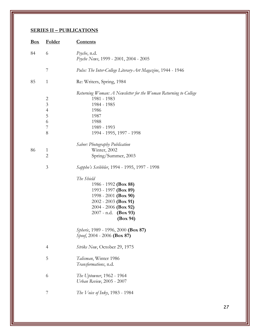| Box | Folder                                                                 | <u>Contents</u>                                                                                                                                                              |
|-----|------------------------------------------------------------------------|------------------------------------------------------------------------------------------------------------------------------------------------------------------------------|
| 84  | 6                                                                      | Psyche, n.d.<br>Psyche News, 1999 - 2001, 2004 - 2005                                                                                                                        |
|     | 7                                                                      | Pulse: The Inter-College Literary-Art Magazine, 1944 - 1946                                                                                                                  |
| 85  | $\mathbf{1}$                                                           | Re: Writers, Spring, 1984                                                                                                                                                    |
|     | $\overline{c}$<br>$\mathfrak{Z}$<br>$\overline{4}$<br>5<br>6<br>7<br>8 | Returning Woman: A Newsletter for the Woman Returning to College<br>1981 - 1983<br>1984 - 1985<br>1986<br>1987<br>1988<br>1989 - 1993<br>1994 - 1995, 1997 - 1998            |
| 86  | 1<br>$\overline{2}$                                                    | <b>Sabor: Photography Publication</b><br>Winter, 2002<br>Spring/Summer, 2003                                                                                                 |
|     | 3                                                                      | Sappho's Scribbler, 1994 - 1995, 1997 - 1998                                                                                                                                 |
|     |                                                                        | The Shield<br>1986 - 1992 (Box 88)<br>1993 - 1997 (Box 89)<br>1998 - 2001 (Box 90)<br>$2002 - 2003$ (Box 91)<br>$2004 - 2006$ (Box 92)<br>$2007$ - n.d. (Box 93)<br>(Box 94) |
|     |                                                                        | Spheric, 1989 - 1996, 2000 (Box 87)<br>Spoof, 2004 - 2006 (Box 87)                                                                                                           |
|     | 4                                                                      | Strike Now, October 29, 1975                                                                                                                                                 |
|     | 5                                                                      | Talisman, Winter 1986<br>Transformations, n.d.                                                                                                                               |
|     | 6                                                                      | The Uptowner, 1962 - 1964<br>Urban Review, 2005 - 2007                                                                                                                       |
|     | 7                                                                      | The Voice of Inky, 1983 - 1984                                                                                                                                               |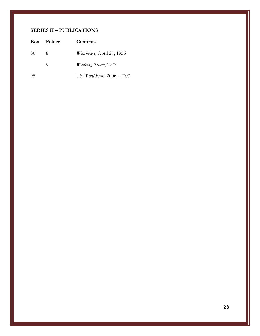| <b>Box</b> | Folder | Contents                           |
|------------|--------|------------------------------------|
| 86         | 8      | <i>Watchpiece</i> , April 27, 1956 |
|            | O)     | <i>Working Papers</i> , 1977       |
| 95         |        | The Word Print, 2006 - 2007        |
|            |        |                                    |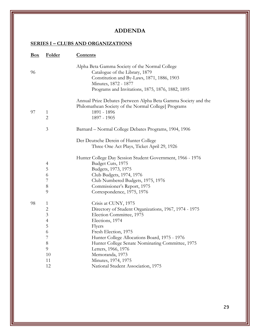## **ADDENDA**

| $\mathbf{Box}$ | Folder                         | <b>Contents</b>                                                                                                                                                                                            |
|----------------|--------------------------------|------------------------------------------------------------------------------------------------------------------------------------------------------------------------------------------------------------|
| 96             |                                | Alpha Beta Gamma Society of the Normal College<br>Catalogue of the Library, 1879<br>Constitution and By-Laws, 1871, 1886, 1903<br>Minutes, 1872 - 1877<br>Programs and Invitations, 1875, 1876, 1882, 1895 |
| 97             | $\mathbf{1}$<br>$\overline{2}$ | Annual Prize Debates [between Alpha Beta Gamma Society and the<br>Philomathean Society of the Normal College] Programs<br>1891 - 1896<br>1897 - 1905                                                       |
|                | $\mathfrak{Z}$                 | Barnard - Normal College Debates Programs, 1904, 1906                                                                                                                                                      |
|                |                                | Der Deutsche Derein of Hunter College<br>Three One Act Plays, Ticket April 29, 1926                                                                                                                        |
|                |                                | Hunter College Day Session Student Government, 1966 - 1976                                                                                                                                                 |
|                | $\overline{4}$                 | Budget Cuts, 1975                                                                                                                                                                                          |
|                | 5                              | Budgets, 1973, 1975                                                                                                                                                                                        |
|                | 6                              | Club Budgets, 1974, 1976                                                                                                                                                                                   |
|                | 7                              | Club Numbered Budgets, 1975, 1976                                                                                                                                                                          |
|                | $8\,$                          | Commissioner's Report, 1975                                                                                                                                                                                |
|                | 9                              | Correspondence, 1975, 1976                                                                                                                                                                                 |
| 98             | $\mathbf{1}$                   | Crisis at CUNY, 1975                                                                                                                                                                                       |
|                | $\overline{2}$                 | Directory of Student Organizations, 1967, 1974 - 1975                                                                                                                                                      |
|                | $\overline{\mathbf{3}}$        | Election Committee, 1975                                                                                                                                                                                   |
|                | $\overline{4}$                 | Elections, 1974                                                                                                                                                                                            |
|                | 5                              | Flyers                                                                                                                                                                                                     |
|                | 6                              | Fresh Election, 1975                                                                                                                                                                                       |
|                | 7                              | Hunter College Allocations Board, 1975 - 1976                                                                                                                                                              |
|                | $8\,$                          | Hunter College Senate Nominating Committee, 1975                                                                                                                                                           |
|                | 9                              | Letters, 1966, 1976                                                                                                                                                                                        |
|                | 10                             | Memoranda, 1973                                                                                                                                                                                            |
|                | 11                             | Minutes, 1974, 1975                                                                                                                                                                                        |
|                | 12                             | National Student Association, 1975                                                                                                                                                                         |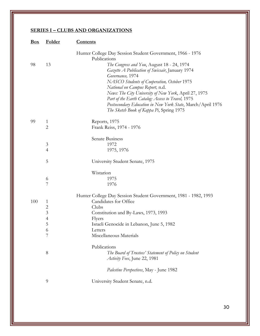| Box | Folder                                                                            | <b>Contents</b>                                                                                                                                                                                                                                                                                                                                                                                                                                                                                            |
|-----|-----------------------------------------------------------------------------------|------------------------------------------------------------------------------------------------------------------------------------------------------------------------------------------------------------------------------------------------------------------------------------------------------------------------------------------------------------------------------------------------------------------------------------------------------------------------------------------------------------|
| 98  | 13                                                                                | Hunter College Day Session Student Government, 1966 - 1976<br>Publications<br>The Congress and You, August 18 - 24, 1974<br>Gazette A Publication of Swissair, January 1974<br>Governance, 1974<br>NASCO Students of Cooperation, October 1975<br>National on Campus Report, n.d.<br>News: The City University of New York, April 27, 1975<br>Part of the Earth Catalog: Access to Travel, 1975<br>Postsecondary Education in New York State, March/April 1976<br>The Sketch Book of Kappa Pi, Spring 1975 |
| 99  | $\mathbf{1}$<br>$\overline{c}$                                                    | Reports, 1975<br>Frank Reiss, 1974 - 1976                                                                                                                                                                                                                                                                                                                                                                                                                                                                  |
|     | $\mathfrak{Z}$<br>$\overline{4}$                                                  | Senate Business<br>1972<br>1975, 1976                                                                                                                                                                                                                                                                                                                                                                                                                                                                      |
|     | 5                                                                                 | University Student Senate, 1975                                                                                                                                                                                                                                                                                                                                                                                                                                                                            |
|     | 6<br>7                                                                            | Wistarion<br>1975<br>1976                                                                                                                                                                                                                                                                                                                                                                                                                                                                                  |
| 100 | $\mathbf{1}$<br>$\overline{c}$<br>$\mathfrak{Z}$<br>$\overline{4}$<br>5<br>6<br>7 | Hunter College Day Session Student Government, 1981 - 1982, 1993<br>Candidates for Office<br>Clubs<br>Constitution and By-Laws, 1973, 1993<br>Flyers<br>Israeli Genocide in Lebanon, June 5, 1982<br>Letters<br>Miscellaneous Materials                                                                                                                                                                                                                                                                    |
|     | 8                                                                                 | Publications<br>The Board of Trustees' Statement of Policy on Student<br>Activity Fees, June 22, 1981                                                                                                                                                                                                                                                                                                                                                                                                      |
|     |                                                                                   | Palestine Perspectives, May - June 1982                                                                                                                                                                                                                                                                                                                                                                                                                                                                    |
|     | 9                                                                                 | University Student Senate, n.d.                                                                                                                                                                                                                                                                                                                                                                                                                                                                            |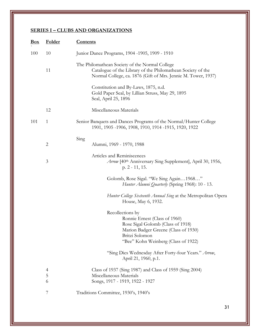| <u>Box</u> | <b>Folder</b>            | <b>Contents</b>                                                                                                                                                                         |  |
|------------|--------------------------|-----------------------------------------------------------------------------------------------------------------------------------------------------------------------------------------|--|
| 100        | 10                       | Junior Dance Programs, 1904 -1905, 1909 - 1910                                                                                                                                          |  |
|            | 11                       | The Philomathean Society of the Normal College<br>Catalogue of the Library of the Philomathean Society of the<br>Normal College, ca. 1876 (Gift of Mrs. Jennie M. Tower, 1937)          |  |
|            |                          | Constitution and By-Laws, 1875, n.d.<br>Gold Paper Seal, by Lillian Struss, May 29, 1895<br>Seal, April 25, 1896                                                                        |  |
|            | 12                       | Miscellaneous Materials                                                                                                                                                                 |  |
| 101        | 1                        | Senior Banquets and Dances Programs of the Normal/Hunter College<br>1901, 1905 -1906, 1908, 1910, 1914 -1915, 1920, 1922                                                                |  |
|            | $\overline{c}$           | Sing<br>Alumni, 1969 - 1970, 1988                                                                                                                                                       |  |
|            | 3                        | Articles and Reminiscences<br>Arrow [40th Anniversary Sing Supplement], April 30, 1956,<br>p. 2 - 11, 15.                                                                               |  |
|            |                          | Golomb, Rose Sigal. "We Sing Again1968"<br>Hunter Alumni Quarterly (Spring 1968): 10 - 13.                                                                                              |  |
|            |                          | Hunter College Sixteenth Annual Sing at the Metropolitan Opera<br>House, May 6, 1932.                                                                                                   |  |
|            |                          | Recollections by<br>Ronnie Ernest (Class of 1960)<br>Rose Sigal Golomb (Class of 1918)<br>Marion Badger Greene (Class of 1930)<br>Britzi Solomon<br>"Bee" Kohn Weinberg (Class of 1922) |  |
|            |                          | "Sing Dies Wednesday After Forty-four Years." Arrow,<br>April 21, 1960, p.1.                                                                                                            |  |
|            | $\overline{4}$<br>5<br>6 | Class of 1937 (Sing 1987) and Class of 1959 (Sing 2004)<br>Miscellaneous Materials<br>Songs, 1917 - 1919, 1922 - 1927                                                                   |  |
|            | 7                        | Traditions Committee, 1930's, 1940's                                                                                                                                                    |  |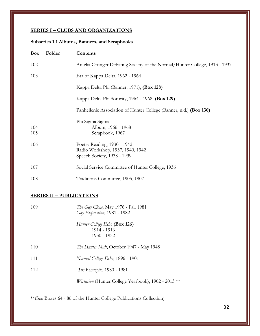# **Subseries 1.1 Albums, Banners, and Scrapbooks**

| Box        | <b>Folder</b> | <b>Contents</b>                                                                                |
|------------|---------------|------------------------------------------------------------------------------------------------|
| 102        |               | Amelia Ottinger Debating Society of the Normal/Hunter College, 1913 - 1937                     |
| 103        |               | Eta of Kappa Delta, 1962 - 1964                                                                |
|            |               | Kappa Delta Phi (Banner, 1971), (Box 128)                                                      |
|            |               | Kappa Delta Phi Sorority, 1964 - 1968 (Box 129)                                                |
|            |               | Panhellenic Association of Hunter College (Banner, n.d.) (Box 130)                             |
| 104<br>105 |               | Phi Sigma Sigma<br>Album, 1966 - 1968<br>Scrapbook, 1967                                       |
| 106        |               | Poetry Reading, 1930 - 1942<br>Radio Workshop, 1937, 1940, 1942<br>Speech Society, 1938 - 1939 |
| 107        |               | Social Service Committee of Hunter College, 1936                                               |
| 108        |               | Traditions Committee, 1905, 1907                                                               |

#### **SERIES II – PUBLICATIONS**

| 109 | <i>The Gay Clone</i> , May 1976 - Fall 1981<br>Gay Expression, 1981 - 1982 |
|-----|----------------------------------------------------------------------------|
|     | Hunter College Echo (Box 126)<br>1914 - 1916<br>1930 - 1932                |
| 110 | The Hunter Mail, October 1947 - May 1948                                   |
| 111 | Normal College Echo, 1896 - 1901                                           |
| 112 | <i>The Renazette</i> , 1980 - 1981                                         |
|     | <i>Wistarion</i> (Hunter College Yearbook), 1902 - 2013 **                 |
|     |                                                                            |

\*\*(See Boxes 64 - 86 of the Hunter College Publications Collection)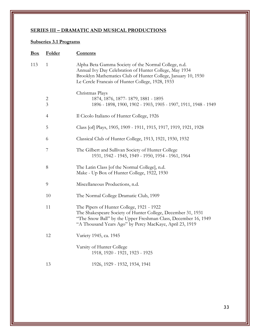## **SERIES III – DRAMATIC AND MUSICAL PRODUCTIONS**

# **Subseries 3.1 Programs**

| <u>Box</u> | Folder              | <b>Contents</b>                                                                                                                                                                                                                        |
|------------|---------------------|----------------------------------------------------------------------------------------------------------------------------------------------------------------------------------------------------------------------------------------|
| 113        | $\mathbf{1}$        | Alpha Beta Gamma Society of the Normal College, n.d.<br>Annual Ivy Day Celebration of Hunter College, May 1934<br>Brooklyn Mathematics Club of Hunter College, January 10, 1930<br>Le Cercle Francais of Hunter College, 1928, 1933    |
|            | $\overline{c}$<br>3 | Christmas Plays<br>1874, 1876, 1877- 1879, 1881 - 1895<br>1896 - 1898, 1900, 1902 - 1903, 1905 - 1907, 1911, 1948 - 1949                                                                                                               |
|            | $\overline{4}$      | Il Cicolo Italiano of Hunter College, 1926                                                                                                                                                                                             |
|            | 5                   | Class [of] Plays, 1905, 1909 - 1911, 1915, 1917, 1919, 1921, 1928                                                                                                                                                                      |
|            | 6                   | Classical Club of Hunter College, 1913, 1921, 1930, 1932                                                                                                                                                                               |
|            | 7                   | The Gilbert and Sullivan Society of Hunter College<br>1931, 1942 - 1945, 1949 - 1950, 1954 - 1961, 1964                                                                                                                                |
|            | 8                   | The Latin Class [of the Normal College], n.d.<br>Make - Up Box of Hunter College, 1922, 1930                                                                                                                                           |
|            | $\overline{9}$      | Miscellaneous Productions, n.d.                                                                                                                                                                                                        |
|            | 10                  | The Normal College Dramatic Club, 1909                                                                                                                                                                                                 |
|            | 11                  | The Pipers of Hunter College, 1921 - 1922<br>The Shakespeare Society of Hunter College, December 31, 1931<br>"The Snow Ball" by the Upper Freshman Class, December 16, 1949<br>"A Thousand Years Ago" by Percy MacKaye, April 23, 1919 |
|            | 12                  | Variety 1945, ca. 1945                                                                                                                                                                                                                 |
|            |                     | Varsity of Hunter College<br>1918, 1920 - 1921, 1923 - 1925                                                                                                                                                                            |
|            | 13                  | 1926, 1929 - 1932, 1934, 1941                                                                                                                                                                                                          |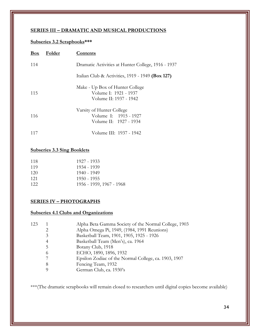#### **SERIES III – DRAMATIC AND MUSICAL PRODUCTIONS**

## **Subseries 3.2 Scrapbooks\*\*\***

| Box | Folder | Contents                                                                           |
|-----|--------|------------------------------------------------------------------------------------|
| 114 |        | Dramatic Activities at Hunter College, 1916 - 1937                                 |
|     |        | Italian Club & Activities, 1919 - 1949 (Box 127)                                   |
| 115 |        | Make - Up Box of Hunter College<br>Volume I: 1921 - 1937<br>Volume II: 1937 - 1942 |
| 116 |        | Varsity of Hunter College<br>Volume I: 1915 - 1927<br>Volume II: 1927 - 1934       |
|     |        | Volume III: 1937 - 1942                                                            |

## **Subseries 3.3 Sing Booklets**

| 118 | 1927 - 1933              |
|-----|--------------------------|
| 119 | 1934 - 1939              |
| 120 | 1940 - 1949              |
| 121 | 1950 - 1955              |
| 122 | 1956 - 1959, 1967 - 1968 |

#### **SERIES IV – PHOTOGRAPHS**

#### **Subseries 4.1 Clubs and Organizations**

| 123 |          | Alpha Beta Gamma Society of the Normal College, 1903 |
|-----|----------|------------------------------------------------------|
|     |          | Alpha Omega Pi, 1949, (1984, 1991 Reunions)          |
|     | 3        | Basketball Team, 1901, 1905, 1925 - 1926             |
|     | 4        | Basketball Team (Men's), ca. 1964                    |
|     | 5        | Botany Club, 1918                                    |
|     | $^{(1)}$ | ECHO, 1890, 1896, 1932                               |
|     |          | Epsilon Zodiac of the Normal College, ca. 1903, 1907 |
|     | 8        | Fencing Team, 1932                                   |
|     |          | German Club, ca. 1930's                              |

\*\*\*(The dramatic scrapbooks will remain closed to researchers until digital copies become available)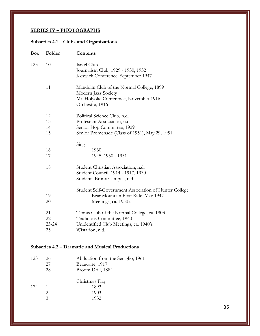## **SERIES IV – PHOTOGRAPHS**

 $\begin{array}{cccc}\n 124 & 1 & 1893 \\
2 & 1903 & & \end{array}$ 

2 1903<br>3 1932

1932

# **Subseries 4.1 – Clubs and Organizations**

| <u>Box</u> | Folder    | <b>Contents</b>                                       |
|------------|-----------|-------------------------------------------------------|
| 123        | 10        | Israel Club                                           |
|            |           | Journalism Club, 1929 - 1930, 1932                    |
|            |           | Keswick Conference, September 1947                    |
|            | 11        | Mandolin Club of the Normal College, 1899             |
|            |           | Modern Jazz Society                                   |
|            |           | Mt. Holyoke Conference, November 1916                 |
|            |           | Orchestra, 1916                                       |
|            | 12        | Political Science Club, n.d.                          |
|            | 13        | Protestant Association, n.d.                          |
|            | 14        | Senior Hop Committee, 1929                            |
|            | 15        | Senior Promenade (Class of 1951), May 29, 1951        |
|            |           | Sing                                                  |
|            | 16        | 1930                                                  |
|            | 17        | 1945, 1950 - 1951                                     |
|            | 18        | Student Christian Association, n.d.                   |
|            |           | Student Council, 1914 - 1917, 1930                    |
|            |           | Students Bronx Campus, n.d.                           |
|            |           | Student Self-Government Association of Hunter College |
|            | 19        | Bear Mountain Boat Ride, May 1947                     |
|            | 20        | Meetings, ca. 1950's                                  |
|            | 21        | Tennis Club of the Normal College, ca. 1903           |
|            | 22        | Traditions Committee, 1940                            |
|            | $23 - 24$ | Unidentified Club Meetings, ca. 1940's                |
|            | 25        | Wistarion, n.d.                                       |
|            |           |                                                       |
|            |           | Subseries 4.2 – Dramatic and Musical Productions      |
| 123        | 26        | Abduction from the Seraglio, 1961                     |
|            | 27        | Beaucaire, 1917                                       |
|            | 28        | Broom Drill, 1884                                     |
|            |           | Christmas Play                                        |